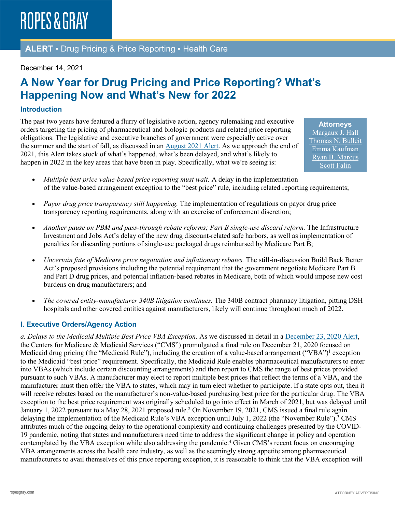**ALERT** ▪ Drug Pricing & Price Reporting ▪ Health Care

#### December 14, 2021

## **A New Year for Drug Pricing and Price Reporting? What's Happening Now and What's New for 2022**

#### **Introduction**

The past two years have featured a flurry of legislative action, agency rulemaking and executive orders targeting the pricing of pharmaceutical and biologic products and related price reporting obligations. The legislative and executive branches of government were especially active over the summer and the start of fall, as discussed in an [August 2021 Alert.](https://www.ropesgray.com/en/newsroom/alerts/2021/August/Developments-in-Drug-Pricing-and-Price-Reporting-as-the-Congressional-Recess-Approaches) As we approach the end of 2021, this Alert takes stock of what's happened, what's been delayed, and what's likely to happen in 2022 in the key areas that have been in play. Specifically, what we're seeing is:

**Attorneys** [Margaux J. Hall](https://www.ropesgray.com/en/biographies/h/margaux-hall) [Thomas N. Bulleit](https://www.ropesgray.com/en/biographies/b/Thomas-Bulleit) [Emma Kaufman](https://www.ropesgray.com/en/biographies/k/Emma-Kaufman) [Ryan B. Marcus](https://www.ropesgray.com/en/biographies/m/ryan-b-marcus) [Scott Falin](https://www.ropesgray.com/en/biographies/f/scott-falin)

- *Multiple best price value-based price reporting must wait.* A delay in the implementation of the value-based arrangement exception to the "best price" rule, including related reporting requirements;
- *Payor drug price transparency still happening.* The implementation of regulations on payor drug price transparency reporting requirements, along with an exercise of enforcement discretion;
- *Another pause on PBM and pass-through rebate reforms; Part B single-use discard reform.* The Infrastructure Investment and Jobs Act's delay of the new drug discount-related safe harbors, as well as implementation of penalties for discarding portions of single-use packaged drugs reimbursed by Medicare Part B;
- *Uncertain fate of Medicare price negotiation and inflationary rebates.* The still-in-discussion Build Back Better Act's proposed provisions including the potential requirement that the government negotiate Medicare Part B and Part D drug prices, and potential inflation-based rebates in Medicare, both of which would impose new cost burdens on drug manufacturers; and
- *The covered entity-manufacturer 340B litigation continues.* The 340B contract pharmacy litigation, pitting DSH hospitals and other covered entities against manufacturers, likely will continue throughout much of 2022.

#### **I. Executive Orders/Agency Action**

*a. Delays to the Medicaid Multiple Best Price VBA Exception.* As we discussed in detail in a [December 23, 2020 Alert,](https://www.ropesgray.com/en/newsroom/alerts/2020/12/Midnight-Changes-to-the-Medicaid-Drug-Rebate-Program-Regulations) the Centers for Medicare & Medicaid Services ("CMS") promulgated a final rule on December 21, 2020 focused on Medicaid drug pricing (the "Medicaid Rule"), including the creation of a value-based arrangement ("VBA")<sup>1</sup> exception to the Medicaid "best price" requirement. Specifically, the Medicaid Rule enables pharmaceutical manufacturers to enter into VBAs (which include certain discounting arrangements) and then report to CMS the range of best prices provided pursuant to such VBAs. A manufacturer may elect to report multiple best prices that reflect the terms of a VBA, and the manufacturer must then offer the VBA to states, which may in turn elect whether to participate. If a state opts out, then it will receive rebates based on the manufacturer's non-value-based purchasing best price for the particular drug. The VBA exception to the best price requirement was originally scheduled to go into effect in March of 2021, but was delayed until January 1, 2022 pursuant to a May 28, 2021 proposed rule.<sup>2</sup> On November 19, 2021, CMS issued a final rule again delaying the implementation of the Medicaid Rule's VBA exception until July 1, 2022 (the "November Rule").<sup>3</sup> CMS attributes much of the ongoing delay to the operational complexity and continuing challenges presented by the COVID-19 pandemic, noting that states and manufacturers need time to address the significant change in policy and operation contemplated by the VBA exception while also addressing the pandemic.<sup>4</sup> Given CMS's recent focus on encouraging VBA arrangements across the health care industry, as well as the seemingly strong appetite among pharmaceutical manufacturers to avail themselves of this price reporting exception, it is reasonable to think that the VBA exception will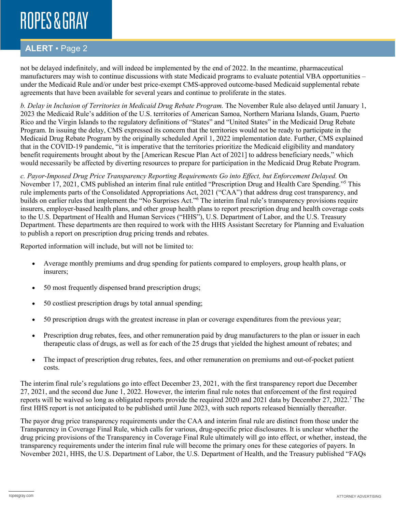### **ALERT** ▪ Page 2

not be delayed indefinitely, and will indeed be implemented by the end of 2022. In the meantime, pharmaceutical manufacturers may wish to continue discussions with state Medicaid programs to evaluate potential VBA opportunities – under the Medicaid Rule and/or under best price-exempt CMS-approved outcome-based Medicaid supplemental rebate agreements that have been available for several years and continue to proliferate in the states.

*b. Delay in Inclusion of Territories in Medicaid Drug Rebate Program.* The November Rule also delayed until January 1, 2023 the Medicaid Rule's addition of the U.S. territories of American Samoa, Northern Mariana Islands, Guam, Puerto Rico and the Virgin Islands to the regulatory definitions of "States" and "United States" in the Medicaid Drug Rebate Program. In issuing the delay, CMS expressed its concern that the territories would not be ready to participate in the Medicaid Drug Rebate Program by the originally scheduled April 1, 2022 implementation date. Further, CMS explained that in the COVID-19 pandemic, "it is imperative that the territories prioritize the Medicaid eligibility and mandatory benefit requirements brought about by the [American Rescue Plan Act of 2021] to address beneficiary needs," which would necessarily be affected by diverting resources to prepare for participation in the Medicaid Drug Rebate Program.

*c. Payor-Imposed Drug Price Transparency Reporting Requirements Go into Effect, but Enforcement Delayed.* On November 17, 2021, CMS published an interim final rule entitled "Prescription Drug and Health Care Spending."5 This rule implements parts of the Consolidated Appropriations Act, 2021 ("CAA") that address drug cost transparency, and builds on earlier rules that implement the "No Surprises Act."6 The interim final rule's transparency provisions require insurers, employer-based health plans, and other group health plans to report prescription drug and health coverage costs to the U.S. Department of Health and Human Services ("HHS"), U.S. Department of Labor, and the U.S. Treasury Department. These departments are then required to work with the HHS Assistant Secretary for Planning and Evaluation to publish a report on prescription drug pricing trends and rebates.

Reported information will include, but will not be limited to:

- Average monthly premiums and drug spending for patients compared to employers, group health plans, or insurers;
- 50 most frequently dispensed brand prescription drugs;
- 50 costliest prescription drugs by total annual spending;
- 50 prescription drugs with the greatest increase in plan or coverage expenditures from the previous year;
- Prescription drug rebates, fees, and other remuneration paid by drug manufacturers to the plan or issuer in each therapeutic class of drugs, as well as for each of the 25 drugs that yielded the highest amount of rebates; and
- The impact of prescription drug rebates, fees, and other remuneration on premiums and out-of-pocket patient costs.

The interim final rule's regulations go into effect December 23, 2021, with the first transparency report due December 27, 2021, and the second due June 1, 2022. However, the interim final rule notes that enforcement of the first required reports will be waived so long as obligated reports provide the required 2020 and 2021 data by December 27, 2022.7 The first HHS report is not anticipated to be published until June 2023, with such reports released biennially thereafter.

The payor drug price transparency requirements under the CAA and interim final rule are distinct from those under the Transparency in Coverage Final Rule, which calls for various, drug-specific price disclosures. It is unclear whether the drug pricing provisions of the Transparency in Coverage Final Rule ultimately will go into effect, or whether, instead, the transparency requirements under the interim final rule will become the primary ones for these categories of payers. In November 2021, HHS, the U.S. Department of Labor, the U.S. Department of Health, and the Treasury published "FAQs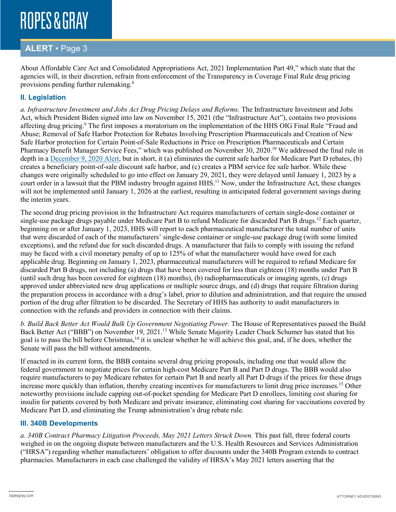### **ALERT** ▪ Page 3

About Affordable Care Act and Consolidated Appropriations Act, 2021 Implementation Part 49," which state that the agencies will, in their discretion, refrain from enforcement of the Transparency in Coverage Final Rule drug pricing provisions pending further rulemaking.8

### **II. Legislation**

*a. Infrastructure Investment and Jobs Act Drug Pricing Delays and Reforms.* The Infrastructure Investment and Jobs Act, which President Biden signed into law on November 15, 2021 (the "Infrastructure Act"), contains two provisions affecting drug pricing.<sup>9</sup> The first imposes a moratorium on the implementation of the HHS OIG Final Rule "Fraud and Abuse; Removal of Safe Harbor Protection for Rebates Involving Prescription Pharmaceuticals and Creation of New Safe Harbor protection for Certain Point-of-Sale Reductions in Price on Prescription Pharmaceuticals and Certain Pharmacy Benefit Manager Service Fees," which was published on November 30, 2020.<sup>10</sup> We addressed the final rule in depth in a [December 9, 2020 Alert,](https://www.ropesgray.com/en/newsroom/alerts/2020/12/Cutting-Out-the-Middleman-HHS-Resurrects-Anti-Rebate-Rule-For-Medicare-Part-D) but in short, it (a) eliminates the current safe harbor for Medicare Part D rebates, (b) creates a beneficiary point-of-sale discount safe harbor, and (c) creates a PBM service fee safe harbor. While these changes were originally scheduled to go into effect on January 29, 2021, they were delayed until January 1, 2023 by a court order in a lawsuit that the PBM industry brought against HHS.<sup>11</sup> Now, under the Infrastructure Act, these changes will not be implemented until January 1, 2026 at the earliest, resulting in anticipated federal government savings during the interim years.

The second drug pricing provision in the Infrastructure Act requires manufacturers of certain single-dose container or single-use package drugs payable under Medicare Part B to refund Medicare for discarded Part B drugs.<sup>12</sup> Each quarter, beginning on or after January 1, 2023, HHS will report to each pharmaceutical manufacturer the total number of units that were discarded of each of the manufacturers' single-dose container or single-use package drug (with some limited exceptions), and the refund due for such discarded drugs. A manufacturer that fails to comply with issuing the refund may be faced with a civil monetary penalty of up to 125% of what the manufacturer would have owed for each applicable drug. Beginning on January 1, 2023, pharmaceutical manufacturers will be required to refund Medicare for discarded Part B drugs, not including (a) drugs that have been covered for less than eighteen (18) months under Part B (until such drug has been covered for eighteen (18) months), (b) radiopharmaceuticals or imaging agents, (c) drugs approved under abbreviated new drug applications or multiple source drugs, and (d) drugs that require filtration during the preparation process in accordance with a drug's label, prior to dilution and administration, and that require the unused portion of the drug after filtration to be discarded. The Secretary of HHS has authority to audit manufacturers in connection with the refunds and providers in connection with their claims.

*b. Build Back Better Act Would Bulk Up Government Negotiating Power.* The House of Representatives passed the Build Back Better Act ("BBB") on November 19, 2021.<sup>13</sup> While Senate Majority Leader Chuck Schumer has stated that his goal is to pass the bill before Christmas,<sup>14</sup> it is unclear whether he will achieve this goal, and, if he does, whether the Senate will pass the bill without amendments.

If enacted in its current form, the BBB contains several drug pricing proposals, including one that would allow the federal government to negotiate prices for certain high-cost Medicare Part B and Part D drugs. The BBB would also require manufacturers to pay Medicare rebates for certain Part B and nearly all Part D drugs if the prices for these drugs increase more quickly than inflation, thereby creating incentives for manufacturers to limit drug price increases.<sup>15</sup> Other noteworthy provisions include capping out-of-pocket spending for Medicare Part D enrollees, limiting cost sharing for insulin for patients covered by both Medicare and private insurance, eliminating cost sharing for vaccinations covered by Medicare Part D, and eliminating the Trump administration's drug rebate rule.

#### **III. 340B Developments**

*a. 340B Contract Pharmacy Litigation Proceeds, May 2021 Letters Struck Down.* This past fall, three federal courts weighed in on the ongoing dispute between manufacturers and the U.S. Health Resources and Services Administration ("HRSA") regarding whether manufacturers' obligation to offer discounts under the 340B Program extends to contract pharmacies. Manufacturers in each case challenged the validity of HRSA's May 2021 letters asserting that the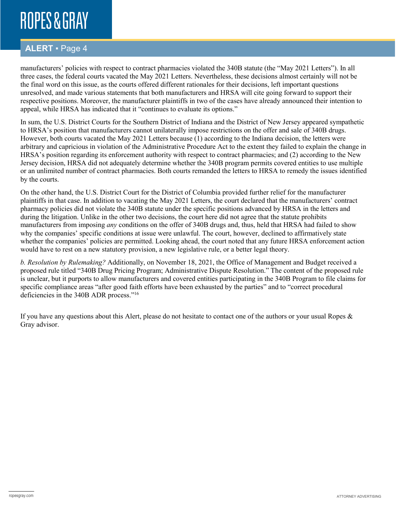### **ALERT** ▪ Page 4

manufacturers' policies with respect to contract pharmacies violated the 340B statute (the "May 2021 Letters"). In all three cases, the federal courts vacated the May 2021 Letters. Nevertheless, these decisions almost certainly will not be the final word on this issue, as the courts offered different rationales for their decisions, left important questions unresolved, and made various statements that both manufacturers and HRSA will cite going forward to support their respective positions. Moreover, the manufacturer plaintiffs in two of the cases have already announced their intention to appeal, while HRSA has indicated that it "continues to evaluate its options."

In sum, the U.S. District Courts for the Southern District of Indiana and the District of New Jersey appeared sympathetic to HRSA's position that manufacturers cannot unilaterally impose restrictions on the offer and sale of 340B drugs. However, both courts vacated the May 2021 Letters because (1) according to the Indiana decision, the letters were arbitrary and capricious in violation of the Administrative Procedure Act to the extent they failed to explain the change in HRSA's position regarding its enforcement authority with respect to contract pharmacies; and (2) according to the New Jersey decision, HRSA did not adequately determine whether the 340B program permits covered entities to use multiple or an unlimited number of contract pharmacies. Both courts remanded the letters to HRSA to remedy the issues identified by the courts.

On the other hand, the U.S. District Court for the District of Columbia provided further relief for the manufacturer plaintiffs in that case. In addition to vacating the May 2021 Letters, the court declared that the manufacturers' contract pharmacy policies did not violate the 340B statute under the specific positions advanced by HRSA in the letters and during the litigation. Unlike in the other two decisions, the court here did not agree that the statute prohibits manufacturers from imposing *any* conditions on the offer of 340B drugs and, thus, held that HRSA had failed to show why the companies' specific conditions at issue were unlawful. The court, however, declined to affirmatively state whether the companies' policies are permitted. Looking ahead, the court noted that any future HRSA enforcement action would have to rest on a new statutory provision, a new legislative rule, or a better legal theory.

*b. Resolution by Rulemaking?* Additionally, on November 18, 2021, the Office of Management and Budget received a proposed rule titled "340B Drug Pricing Program; Administrative Dispute Resolution." The content of the proposed rule is unclear, but it purports to allow manufacturers and covered entities participating in the 340B Program to file claims for specific compliance areas "after good faith efforts have been exhausted by the parties" and to "correct procedural deficiencies in the 340B ADR process."16

If you have any questions about this Alert, please do not hesitate to contact one of the authors or your usual Ropes  $\&$ Gray advisor.